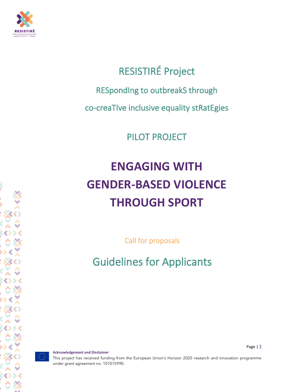

## RESISTIRÉ Project

RESpondIng to outbreakS through

co-creaTIve inclusive equality stRatEgies

PILOT PROJECT

# **ENGAGING WITH GENDER-BASED VIOLENCE THROUGH SPORT**

Call for proposals

Guidelines for Applicants

**Acknowledgement and Disclaimer**

Page | 1

This project has received funding from the European Union's Horizon 2020 research and innovation programme under grant agreement no. 101015990.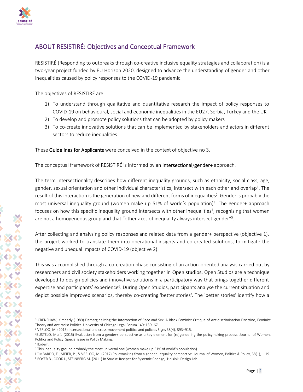

## ABOUT RESISTIRÉ: Objectives and Conceptual Framework

RESISTIRÉ (Responding to outbreaks through co-creative inclusive equality strategies and collaboration) is a two-year project funded by EU Horizon 2020, designed to advance the understanding of gender and other inequalities caused by policy responses to the COVID-19 pandemic.

The objectives of RESISTIRÉ are:

- 1) To understand through qualitative and quantitative research the impact of policy responses to COVID-19 on behavioural, social and economic inequalities in the EU27, Serbia, Turkey and the UK
- 2) To develop and promote policy solutions that can be adopted by policy makers
- 3) To co-create innovative solutions that can be implemented by stakeholders and actors in different sectors to reduce inequalities.

These Guidelines for Applicants were conceived in the context of objective no 3.

The conceptual framework of RESISTIRÉ is informed by an intersectional/gender+ approach.

The term intersectionality describes how different inequality grounds, such as ethnicity, social class, age, gender, sexual orientation and other individual characteristics, intersect with each other and overlap<sup>1</sup>. The result of this interaction is the generation of new and different forms of inequalities<sup>2</sup>. Gender is probably the most universal inequality ground (women make up 51% of world's population)<sup>3</sup>. The gender+ approach focuses on how this specific inequality ground intersects with other inequalities<sup>4</sup>, recognising that women are not a homogeneous group and that "other axes of inequality always intersect gender"<sup>5</sup>.

After collecting and analysing policy responses and related data from a gender+ perspective (objective 1), the project worked to translate them into operational insights and co-created solutions, to mitigate the negative and unequal impacts of COVID-19 (objective 2).

This was accomplished through a co-creation phase consisting of an action-oriented analysis carried out by researchers and civil society stakeholders working together in Open studios. Open Studios are a technique developed to design policies and innovative solutions in a participatory way that brings together different expertise and participants' experience<sup>6</sup>. During Open Studios, participants analyse the current situation and depict possible improved scenarios, thereby co-creating 'better stories'. The 'better stories' identify how a

 $1$  CRENSHAW, Kimberly (1989) Demarginalizing the Intersection of Race and Sex: A Black Feminist Critique of Antidiscrimination Doctrine, Feminist Theory and Antiracist Politics. University of Chicago Legal Forum 140: 139–67.

<sup>2</sup> VERLOO, M. (2013) Intersectional and cross-movement politics and policies Signs 38(4), 893–915.

<sup>&</sup>lt;sup>3</sup>BUSTELO, María (2015) Evaluation from a gender+ perspective as a key element for (re)gendering the policymaking process. Journal of Women, Politics and Policy. Special issue in Policy Making.

<sup>4</sup> Ibidem.

<sup>5</sup> This inequality ground probably the most universal one (women make up 51% of world's population).

LOMBARDO, E., MEIER, P., & VERLOO, M. (2017) Policymaking from a gender+ equality perspective. Journal of Women, Politics & Policy, 38(1), 1-19. <sup>6</sup> BOYER B., COOK J., STEINBERG M. (2011) In Studio: Recipes for Systemic Change, Helsinki Design Lab.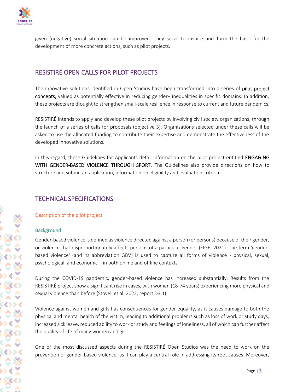

given (negative) social situation can be improved. They serve to inspire and form the basis for the development of more concrete actions, such as pilot projects.

## RESISTIRÉ OPEN CALLS FOR PILOT PROJECTS

The innovative solutions identified in Open Studios have been transformed into a series of **pilot project** concepts, valued as potentially effective in reducing gender+ inequalities in specific domains. In addition, these projects are thought to strengthen small-scale resilience in response to current and future pandemics.

RESISTIRÉ intends to apply and develop these pilot projects by involving civil society organizations, through the launch of a series of calls for proposals (objective 3). Organisations selected under these calls will be asked to use the allocated funding to contribute their expertise and demonstrate the effectiveness of the developed innovative solutions.

In this regard, these Guidelines for Applicants detail information on the pilot project entitled ENGAGING WITH GENDER-BASED VIOLENCE THROUGH SPORT. The Guidelines also provide directions on how to structure and submit an application, information on eligibility and evaluation criteria.

## TECHNICAL SPECIFICATIONS

## Description of the pilot project

#### **Background**

Gender-based violence is defined as violence directed against a person (or persons) because of their gender, or violence that disproportionately affects persons of a particular gender (EIGE, 2021). The term 'genderbased violence' (and its abbreviation GBV) is used to capture all forms of violence - physical, sexual, psychological, and economic – in both online and offline contexts.

During the COVID-19 pandemic, gender-based violence has increased substantially. Results from the RESISTIRÉ project show a significant rise in cases, with women (18-74 years) experiencing more physical and sexual violence than before (Stovell et al. 2022, report D3.1).

Violence against women and girls has consequences for gender equality, as it causes damage to both the physical and mental health of the victim, leading to additional problems such as loss of work or study days, increased sick leave, reduced ability to work or study and feelings of loneliness, all of which can further affect the quality of life of many women and girls.

One of the most discussed aspects during the RESISTIRÉ Open Studios was the need to work on the prevention of gender-based violence, as it can play a central role in addressing its root causes. Moreover,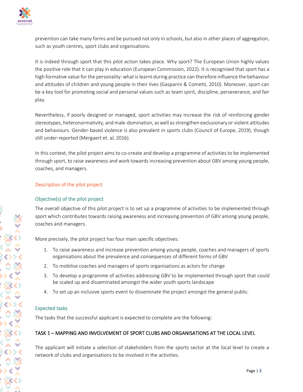

prevention can take many forms and be pursued not only in schools, but also in other places of aggregation, such as youth centres, sport clubs and organisations.

It is indeed through sport that this pilot action takes place. Why sport? The European Union highly values the positive role that it can play in education (European Commission, 2022). It is recognised that sport has a high formative value for the personality: what is learnt during practice can therefore influence the behaviour and attitudes of children and young people in their lives (Gasparini & Cometti, 2010). Moreover, sport can be a key tool for promoting social and personal values such as team spirit, discipline, perseverance, and fair play.

Nevertheless, if poorly designed or managed, sport activities may increase the risk of reinforcing gender stereotypes, heteronormativity, and male-domination, as well as strengthen exclusionary or violent attitudes and behaviours. Gender-based violence is also prevalent in sports clubs (Council of Europe, 2019), though still under-reported (Mergaert et. al, 2016).

In this context, the pilot project aims to co-create and develop a programme of activities to be implemented through sport, to raise awareness and work towards increasing prevention about GBV among young people, coaches, and managers.

## Description of the pilot project

## Objective(s) of the pilot project

The overall objective of this pilot project is to set up a programme of activities to be implemented through sport which contributes towards raising awareness and increasing prevention of GBV among young people, coaches and managers.

More precisely, the pilot project has four main specific objectives:

- 1. To raise awareness and increase prevention among young people, coaches and managers of sports organisations about the prevalence and consequences of different forms of GBV
- 2. To mobilise coaches and managers of sports organisations as actors for change
- 3. To develop a programme of activities addressing GBV to be implemented through sport that could be scaled up and disseminated amongst the wider youth sports landscape
- 4. To set up an inclusive sports event to disseminate the project amongst the general public.

## Expected tasks

The tasks that the successful applicant is expected to complete are the following:

## TASK 1 – MAPPING AND INVOLVEMENT OF SPORT CLUBS AND ORGANISATIONS AT THE LOCAL LEVEL

The applicant will initiate a selection of stakeholders from the sports sector at the local level to create a network of clubs and organisations to be involved in the activities.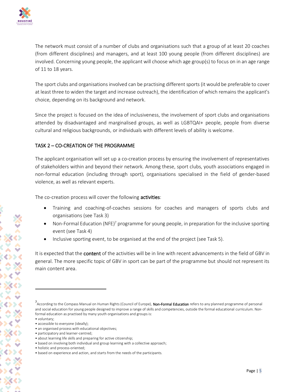

The network must consist of a number of clubs and organisations such that a group of at least 20 coaches (from different disciplines) and managers, and at least 100 young people (from different disciplines) are involved. Concerning young people, the applicant will choose which age group(s) to focus on in an age range of 11 to 18 years.

The sport clubs and organisations involved can be practising different sports (it would be preferable to cover at least three to widen the target and increase outreach), the identification of which remains the applicant's choice, depending on its background and network.

Since the project is focused on the idea of inclusiveness, the involvement of sport clubs and organisations attended by disadvantaged and marginalised groups, as well as LGBTQAI+ people, people from diverse cultural and religious backgrounds, or individuals with different levels of ability is welcome.

## TASK 2 – CO-CREATION OF THE PROGRAMME

The applicant organisation will set up a co-creation process by ensuring the involvement of representatives of stakeholders within and beyond their network. Among these, sport clubs, youth associations engaged in non-formal education (including through sport), organisations specialised in the field of gender-based violence, as well as relevant experts.

The co-creation process will cover the following **activities**:

- Training and coaching-of-coaches sessions for coaches and managers of sports clubs and organisations (see Task 3)
- Non-Formal Education (NFE)<sup>7</sup> programme for young people, in preparation for the inclusive sporting event (see Task 4)
- Inclusive sporting event, to be organised at the end of the project (see Task 5).

It is expected that the **content** of the activities will be in line with recent advancements in the field of GBV in general. The more specific topic of GBV in sport can be part of the programme but should not represent its main content area.

<sup>7&</sup>lt;br>"According to the Compass Manual on Human Rights (Council of Europe), **Non-Formal Education** refers to any planned programme of personal and social education for young people designed to improve a range of skills and competencies, outside the formal educational curriculum. Nonformal education as practised by many youth organisations and groups is: • voluntary;

<sup>•</sup> accessible to everyone (ideally);

<sup>•</sup> an organised process with educational objectives;

<sup>•</sup> participatory and learner-centred;

<sup>•</sup> about learning life skills and preparing for active citizenship;

<sup>•</sup> based on involving both individual and group learning with a collective approach;

<sup>•</sup> holistic and process-oriented;

<sup>•</sup> based on experience and action, and starts from the needs of the participants.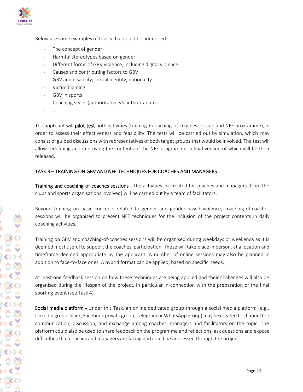

Below are some examples of topics that could be addressed:

- The concept of gender
- Harmful stereotypes based on gender
- Different forms of GBV violence, including digital violence
- Causes and contributing factors to GBV
- GBV and disability, sexual identity, nationality
- Victim blaming
- GBV in sports
- Coaching styles (authoritative VS authoritarian)
- …

The applicant will pilot-test both activities (training + coaching-of-coaches session and NFE programme), in order to assess their effectiveness and feasibility. The tests will be carried out by simulation, which may consist of guided discussions with representatives of both target groups that would be involved. The test will allow redefining and improving the contents of the NFE programme, a final version of which will be then released.

## TASK 3 – TRAINING ON GBV AND NFE TECHNIQUES FOR COACHES AND MANAGERS

Training and coaching-of-coaches sessions - The activities co-created for coaches and managers (from the clubs and sports organisations involved) will be carried out by a team of facilitators.

Beyond training on basic concepts related to gender and gender-based violence, coaching-of-coaches sessions will be organised to present NFE techniques for the inclusion of the project contents in daily coaching activities.

Training on GBV and coaching-of-coaches sessions will be organised during weekdays or weekends as it is deemed most useful to support the coaches' participation. These will take place in person, at a location and timeframe deemed appropriate by the applicant. A number of online sessions may also be planned in addition to face-to-face ones. A hybrid format can be applied, based on specific needs.

At least one feedback session on how these techniques are being applied and their challenges will also be organised during the lifespan of the project, in particular in connection with the preparation of the final sporting event (see Task 4).

Social media platform - Under this Task, an online dedicated group through a social media platform (e.g., Linkedin group, Slack, Facebook private group, Telegram or WhatsApp group) may be created to channel the communication, discussion, and exchange among coaches, managers and facilitators on the topic. The platform could also be used to share feedback on the programme and reflections, ask questions and expose difficulties that coaches and managers are facing and could be addressed through the project.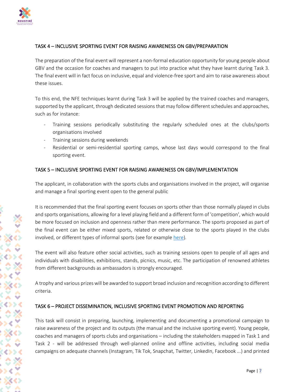

## TASK 4 – INCLUSIVE SPORTING EVENT FOR RAISING AWARENESS ON GBV/PREPARATION

The preparation of the final event will represent a non-formal education opportunity for young people about GBV and the occasion for coaches and managers to put into practice what they have learnt during Task 3. The final event will in fact focus on inclusive, equal and violence-free sport and aim to raise awareness about these issues.

To this end, the NFE techniques learnt during Task 3 will be applied by the trained coaches and managers, supported by the applicant, through dedicated sessions that may follow different schedules and approaches, such as for instance:

- Training sessions periodically substituting the regularly scheduled ones at the clubs/sports organisations involved
- Training sessions during weekends
- Residential or semi-residential sporting camps, whose last days would correspond to the final sporting event.

## TASK 5 – INCLUSIVE SPORTING EVENT FOR RAISING AWARENESS ON GBV/IMPLEMENTATION

The applicant, in collaboration with the sports clubs and organisations involved in the project, will organise and manage a final sporting event open to the general public

It is recommended that the final sporting event focuses on sports other than those normally played in clubs and sports organisations, allowing for a level playing field and a different form of 'competition', which would be more focused on inclusion and openness rather than mere performance. The sports proposed as part of the final event can be either mixed sports, related or otherwise close to the sports played in the clubs involved, or different types of informal sports (see for example [here\)](https://observatory.tec.mx/edu-news/mixed-sports-education).

The event will also feature other social activities, such as training sessions open to people of all ages and individuals with disabilities, exhibitions, stands, picnics, music, etc. The participation of renowned athletes from different backgrounds as ambassadors is strongly encouraged.

A trophy and various prizes will be awarded to support broad inclusion and recognition according to different criteria.

## TASK 6 – PROJECT DISSEMINATION, INCLUSIVE SPORTING EVENT PROMOTION AND REPORTING

This task will consist in preparing, launching, implementing and documenting a promotional campaign to raise awareness of the project and its outputs (the manual and the inclusive sporting event). Young people, coaches and managers of sports clubs and organisations – including the stakeholders mapped in Task 1 and Task 2 - will be addressed through well-planned online and offline activities, including social media campaigns on adequate channels (Instagram, Tik Tok, Snapchat, Twitter, LinkedIn, Facebook ...) and printed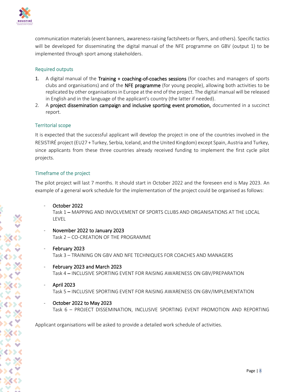

communication materials (event banners, awareness-raising factsheets or flyers, and others). Specific tactics will be developed for disseminating the digital manual of the NFE programme on GBV (output 1) to be implemented through sport among stakeholders.

## Required outputs

- 1. A digital manual of the Training + coaching-of-coaches sessions (for coaches and managers of sports clubs and organisations) and of the NFE programme (for young people), allowing both activities to be replicated by other organisations in Europe at the end of the project. The digital manual will be released in English and in the language of the applicant's country (the latter if needed).
- 2. A project dissemination campaign and inclusive sporting event promotion, documented in a succinct report.

## Territorial scope

It is expected that the successful applicant will develop the project in one of the countries involved in the RESISTIRÉ project (EU27 + Turkey, Serbia, Iceland, and the United Kingdom) except Spain, Austria and Turkey, since applicants from these three countries already received funding to implement the first cycle pilot projects.

## Timeframe of the project

The pilot project will last 7 months. It should start in October 2022 and the foreseen end is May 2023. An example of a general work schedule for the implementation of the project could be organised as follows:

- October 2022 Task 1 – MAPPING AND INVOLVEMENT OF SPORTS CLUBS AND ORGANISATIONS AT THE LOCAL LEVEL
- November 2022 to January 2023 Task 2 – CO-CREATION OF THE PROGRAMME
- February 2023 Task 3 – TRAINING ON GBV AND NFE TECHNIQUES FOR COACHES AND MANAGERS
- February 2023 and March 2023 Task 4 – INCLUSIVE SPORTING EVENT FOR RAISING AWARENESS ON GBV/PREPARATION
- April 2023 Task 5 – INCLUSIVE SPORTING EVENT FOR RAISING AWARENESS ON GBV/IMPLEMENTATION
- October 2022 to May 2023 Task 6 – PROJECT DISSEMINATION, INCLUSIVE SPORTING EVENT PROMOTION AND REPORTING

Applicant organisations will be asked to provide a detailed work schedule of activities.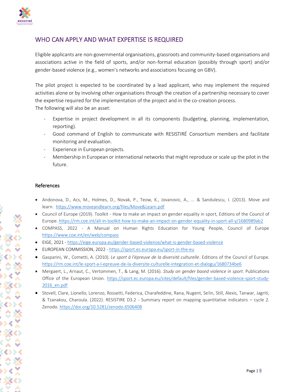

## WHO CAN APPLY AND WHAT EXPERTISE IS REQUIRED

Eligible applicants are non-governmental organisations, grassroots and community-based organisations and associations active in the field of sports, and/or non-formal education (possibly through sport) and/or gender-based violence (e.g., women's networks and associations focusing on GBV).

The pilot project is expected to be coordinated by a lead applicant, who may implement the required activities alone or by involving other organisations through the creation of a partnership necessary to cover the expertise required for the implementation of the project and in the co-creation process. The following will also be an asset:

- Expertise in project development in all its components (budgeting, planning, implementation, reporting).
- Good command of English to communicate with RESISTIRÉ Consortium members and facilitate monitoring and evaluation.
- Experience in European projects.
- Membership in European or international networks that might reproduce or scale up the pilot in the future.

#### References

- Andonova, D., Acs, M., Holmes, D., Novak, P., Teow, K., Jovanovic, A., ... & Sandulescu, I. (2013). Move and learn. <https://www.moveandlearn.org/files/Move&Learn.pdf>
- Council of Europe (2019). Toolkit How to make an impact on gender equality in sport, Editions of the Council of Europe[. https://rm.coe.int/all-in-toolkit-how-to-make-an-impact-on-gender-equality-in-sport-all-y/1680989ab2](https://rm.coe.int/all-in-toolkit-how-to-make-an-impact-on-gender-equality-in-sport-all-y/1680989ab2)
- COMPASS, 2022 A Manual on Human Rights Education for Young People, Council of Europe <https://www.coe.int/en/web/compass>
- EIGE, 2021 <https://eige.europa.eu/gender-based-violence/what-is-gender-based-violence>
- EUROPEAN COMMISSION, 2022 <https://sport.ec.europa.eu/sport-in-the-eu>
- Gasparini, W., Cometti, A. (2010). *Le sport à l'épreuve de la diversité culturelle*. Editions of the Council of Europe. <https://rm.coe.int/le-sport-a-l-epreuve-de-la-diversite-culturelle-integration-et-dialogu/1680734be6>
- Mergaert, L., Arnaut, C., Vertommen, T., & Lang, M. (2016). *Study on gender based violence in sport*. Publications Office of the European Union. [https://sport.ec.europa.eu/sites/default/files/gender-based-violence-sport-study-](https://sport.ec.europa.eu/sites/default/files/gender-based-violence-sport-study-2016_en.pdf)[2016\\_en.pdf](https://sport.ec.europa.eu/sites/default/files/gender-based-violence-sport-study-2016_en.pdf)
- Stovell, Clare, Lionello, Lorenzo, Rossetti, Federica, Charafeddine, Rana, Nugent, Selin, Still, Alexis, Tanwar, Jagriti, & Tzanakou, Charoula. (2022). RESISTIRE D3.2 - Summary report on mapping quantitative indicators – cycle 2. Zenodo[. https://doi.org/10.5281/zenodo.6506408](https://doi.org/10.5281/zenodo.6506408)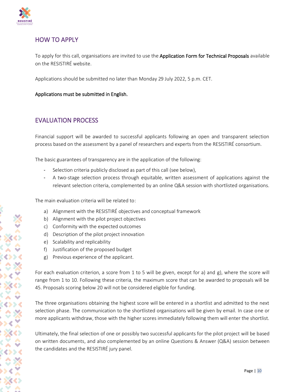

## HOW TO APPLY

To apply for this call, organisations are invited to use the Application Form for Technical Proposals available on the RESISTIRÉ website.

Applications should be submitted no later than Monday 29 July 2022, 5 p.m. CET.

Applications must be submitted in English.

## EVALUATION PROCESS

Financial support will be awarded to successful applicants following an open and transparent selection process based on the assessment by a panel of researchers and experts from the RESISTIRÉ consortium.

The basic guarantees of transparency are in the application of the following:

- Selection criteria publicly disclosed as part of this call (see below),
- A two-stage selection process through equitable, written assessment of applications against the relevant selection criteria, complemented by an online Q&A session with shortlisted organisations.

The main evaluation criteria will be related to:

- a) Alignment with the RESISTIRÉ objectives and conceptual framework
- b) Alignment with the pilot project objectives
- c) Conformity with the expected outcomes
- d) Description of the pilot project innovation
- e) Scalability and replicability
- f) Justification of the proposed budget
- g) Previous experience of the applicant.

For each evaluation criterion, a score from 1 to 5 will be given, except for a) and g), where the score will range from 1 to 10. Following these criteria, the maximum score that can be awarded to proposals will be 45. Proposals scoring below 20 will not be considered eligible for funding.

The three organisations obtaining the highest score will be entered in a shortlist and admitted to the next selection phase. The communication to the shortlisted organisations will be given by email. In case one or more applicants withdraw, those with the higher scores immediately following them will enter the shortlist.

Ultimately, the final selection of one or possibly two successful applicants for the pilot project will be based on written documents, and also complemented by an online Questions & Answer (Q&A) session between the candidates and the RESISTIRÉ jury panel.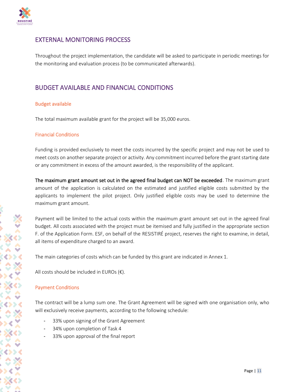

## EXTERNAL MONITORING PROCESS

Throughout the project implementation, the candidate will be asked to participate in periodic meetings for the monitoring and evaluation process (to be communicated afterwards).

## BUDGET AVAILABLE AND FINANCIAL CONDITIONS

#### Budget available

The total maximum available grant for the project will be 35,000 euros.

#### Financial Conditions

Funding is provided exclusively to meet the costs incurred by the specific project and may not be used to meet costs on another separate project or activity. Any commitment incurred before the grant starting date or any commitment in excess of the amount awarded, is the responsibility of the applicant.

The maximum grant amount set out in the agreed final budget can NOT be exceeded. The maximum grant amount of the application is calculated on the estimated and justified eligible costs submitted by the applicants to implement the pilot project. Only justified eligible costs may be used to determine the maximum grant amount.

Payment will be limited to the actual costs within the maximum grant amount set out in the agreed final budget. All costs associated with the project must be itemised and fully justified in the appropriate section F. of the Application Form. ESF, on behalf of the RESISTIRÉ project, reserves the right to examine, in detail, all items of expenditure charged to an award.

The main categories of costs which can be funded by this grant are indicated in Annex 1.

All costs should be included in EUROs  $(\epsilon)$ .

#### Payment Conditions

The contract will be a lump sum one. The Grant Agreement will be signed with one organisation only, who will exclusively receive payments, according to the following schedule:

- 33% upon signing of the Grant Agreement
- 34% upon completion of Task 4
- 33% upon approval of the final report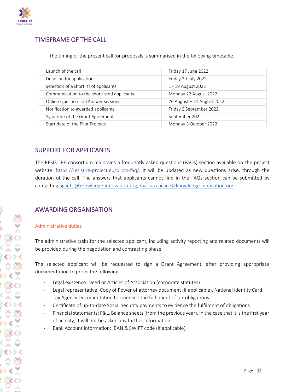

## TIMEFRAME OF THE CALL

The timing of the present call for proposals is summarised in the following timetable.

| Launch of the call                          | Friday 17 June 2022        |
|---------------------------------------------|----------------------------|
| Deadline for applications                   | Friday 29 July 2022        |
| Selection of a shortlist of applicants      | 1 - 19 August 2022         |
| Communication to the shortlisted applicants | Monday 22 August 2022      |
| Online Question and Answer sessions         | 26 August - 31 August 2022 |
| Notification to awarded applicants          | Friday 2 September 2022    |
| Signature of the Grant Agreement            | September 2022             |
| Start date of the Pilot Projects            | Monday 3 October 2022      |

## SUPPORT FOR APPLICANTS

The RESISTIRÉ consortium maintains a frequently asked questions (FAQs) section available on the project website: <https://resistire-project.eu/pilots-faq/>. It will be updated as new questions arise, through the duration of the call. The answers that applicants cannot find in the FAQs section can be submitted by contacting [aglietti@knowledge-innovation-org,](mailto:aglietti@knowledge-innovation-org) [marina.cacace@knowledge-innovation.org.](mailto:marina.cacace@knowledge-innovation.org)

## AWARDING ORGANISATION

## Administrative duties

The administrative tasks for the selected applicant, including activity reporting and related documents will be provided during the negotiation and contracting phase.

The selected applicant will be requested to sign a Grant Agreement, after providing appropriate documentation to prove the following:

- Legal existence: Deed or Articles of Association (corporate statutes)
- Legal representative: Copy of Power of attorney document (if applicable), National Identity Card
- Tax Agency Documentation to evidence the fulfilment of tax obligations
- Certificate of up-to-date Social Security payments to evidence the fulfilment of obligations
- Financial statements: P&L, Balance sheets (from the previous year). In the case that it is the first year of activity, it will not be asked any further information
- Bank Account information: IBAN & SWIFT code (if applicable).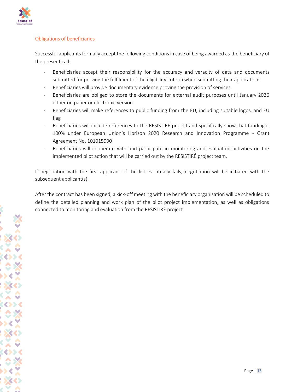

## Obligations of beneficiaries

Successful applicants formally accept the following conditions in case of being awarded as the beneficiary of the present call:

- Beneficiaries accept their responsibility for the accuracy and veracity of data and documents submitted for proving the fulfilment of the eligibility criteria when submitting their applications
- Beneficiaries will provide documentary evidence proving the provision of services
- Beneficiaries are obliged to store the documents for external audit purposes until January 2026 either on paper or electronic version
- Beneficiaries will make references to public funding from the EU, including suitable logos, and EU flag
- Beneficiaries will include references to the RESISTIRÉ project and specifically show that funding is 100% under European Union's Horizon 2020 Research and Innovation Programme - Grant Agreement No. 101015990
- Beneficiaries will cooperate with and participate in monitoring and evaluation activities on the implemented pilot action that will be carried out by the RESISTIRÉ project team.

If negotiation with the first applicant of the list eventually fails, negotiation will be initiated with the subsequent applicant(s).

After the contract has been signed, a kick-off meeting with the beneficiary organisation will be scheduled to define the detailed planning and work plan of the pilot project implementation, as well as obligations connected to monitoring and evaluation from the RESISTIRÉ project.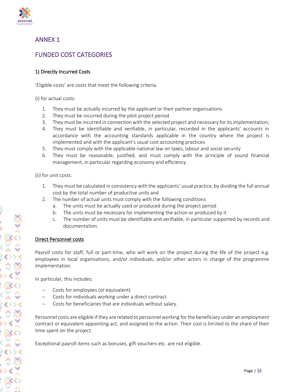

## ANNEX 1

## FUNDED COST CATEGORIES

## 1) Directly Incurred Costs

'Eligible costs' are costs that meet the following criteria.

(i) for actual costs:

- 1. They must be actually incurred by the applicant or their partner organisations
- 2. They must be incurred during the pilot project period
- 3. They must be incurred in connection with the selected project and necessary for its implementation;
- 4. They must be identifiable and verifiable, in particular, recorded in the applicants' accounts in accordance with the accounting standards applicable in the country where the project is implemented and with the applicant's usual cost accounting practices
- 5. They must comply with the applicable national law on taxes, labour and social security
- 6. They must be reasonable, justified, and must comply with the principle of sound financial management, in particular regarding economy and efficiency.

(ii) for unit costs:

- 1. They must be calculated in consistency with the applicants' usual practice, by dividing the full annual cost by the total number of productive units and
- 2. The number of actual units must comply with the following conditions
	- a. The units must be actually used or produced during the project period
	- b. The units must be necessary for implementing the action or produced by it
	- c. The number of units must be identifiable and verifiable, in particular supported by records and documentation.

## Direct Personnel costs

Payroll costs for staff, full or part-time, who will work on the project during the life of the project e.g. employees in local organisations, and/or individuals, and/or other actors in charge of the programme implementation.

In particular, this includes:

- − Costs for employees (or equivalent)
- − Costs for individuals working under a direct contract
- − Costs for beneficiaries that are individuals without salary.

Personnel costs are eligible if they are related to personnel working for the beneficiary under an employment contract or equivalent appointing act, and assigned to the action. Their cost is limited to the share of their time spent on the project.

Exceptional payroll items such as bonuses, gift vouchers etc. are not eligible.